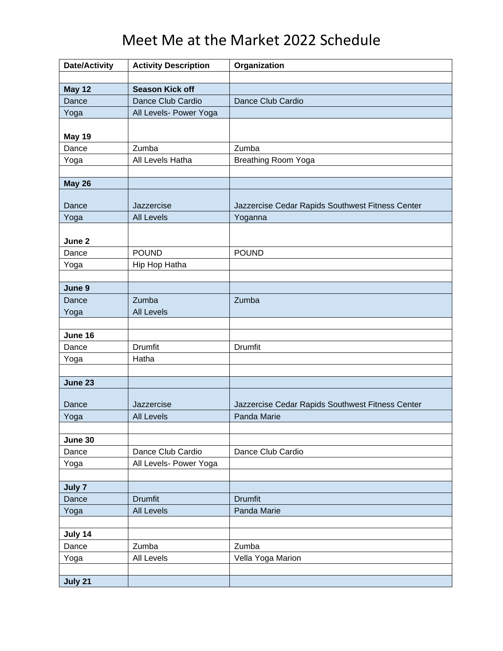## Meet Me at the Market 2022 Schedule

| <b>Date/Activity</b> | <b>Activity Description</b> | Organization                                     |
|----------------------|-----------------------------|--------------------------------------------------|
|                      |                             |                                                  |
| <b>May 12</b>        | <b>Season Kick off</b>      |                                                  |
| Dance                | Dance Club Cardio           | Dance Club Cardio                                |
| Yoga                 | All Levels- Power Yoga      |                                                  |
|                      |                             |                                                  |
| May 19               |                             |                                                  |
| Dance                | Zumba                       | Zumba                                            |
| Yoga                 | All Levels Hatha            | Breathing Room Yoga                              |
|                      |                             |                                                  |
| <b>May 26</b>        |                             |                                                  |
| Dance                | Jazzercise                  | Jazzercise Cedar Rapids Southwest Fitness Center |
| Yoga                 | <b>All Levels</b>           | Yoganna                                          |
|                      |                             |                                                  |
| June 2               |                             |                                                  |
| Dance                | <b>POUND</b>                | <b>POUND</b>                                     |
| Yoga                 | Hip Hop Hatha               |                                                  |
|                      |                             |                                                  |
| June 9               |                             |                                                  |
| Dance                | Zumba                       | Zumba                                            |
| Yoga                 | <b>All Levels</b>           |                                                  |
|                      |                             |                                                  |
| June 16              |                             |                                                  |
| Dance                | <b>Drumfit</b>              | Drumfit                                          |
| Yoga                 | Hatha                       |                                                  |
|                      |                             |                                                  |
| June 23              |                             |                                                  |
|                      |                             |                                                  |
| Dance                | Jazzercise                  | Jazzercise Cedar Rapids Southwest Fitness Center |
| Yoga                 | <b>All Levels</b>           | Panda Marie                                      |
| June 30              |                             |                                                  |
| Dance                | Dance Club Cardio           | Dance Club Cardio                                |
| Yoga                 | All Levels- Power Yoga      |                                                  |
|                      |                             |                                                  |
| July 7               |                             |                                                  |
| Dance                | <b>Drumfit</b>              | <b>Drumfit</b>                                   |
| Yoga                 | <b>All Levels</b>           | Panda Marie                                      |
|                      |                             |                                                  |
| July 14              |                             |                                                  |
| Dance                | Zumba                       | Zumba                                            |
| Yoga                 | All Levels                  | Vella Yoga Marion                                |
|                      |                             |                                                  |
| July 21              |                             |                                                  |